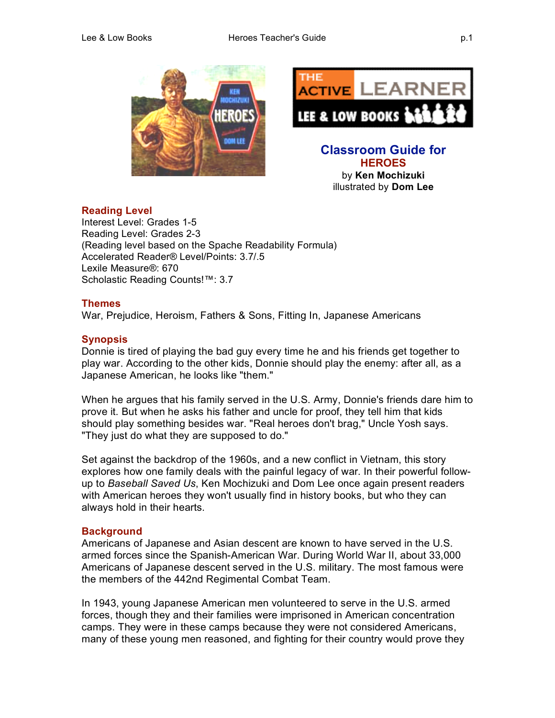

### **Reading Level**

Interest Level: Grades 1-5 Reading Level: Grades 2-3 (Reading level based on the Spache Readability Formula) Accelerated Reader® Level/Points: 3.7/.5 Lexile Measure®: 670 Scholastic Reading Counts!™: 3.7

### **Themes**

War, Prejudice, Heroism, Fathers & Sons, Fitting In, Japanese Americans

### **Synopsis**

Donnie is tired of playing the bad guy every time he and his friends get together to play war. According to the other kids, Donnie should play the enemy: after all, as a Japanese American, he looks like "them."

When he argues that his family served in the U.S. Army, Donnie's friends dare him to prove it. But when he asks his father and uncle for proof, they tell him that kids should play something besides war. "Real heroes don't brag," Uncle Yosh says. "They just do what they are supposed to do."

Set against the backdrop of the 1960s, and a new conflict in Vietnam, this story explores how one family deals with the painful legacy of war. In their powerful followup to *Baseball Saved Us*, Ken Mochizuki and Dom Lee once again present readers with American heroes they won't usually find in history books, but who they can always hold in their hearts.

### **Background**

Americans of Japanese and Asian descent are known to have served in the U.S. armed forces since the Spanish-American War. During World War II, about 33,000 Americans of Japanese descent served in the U.S. military. The most famous were the members of the 442nd Regimental Combat Team.

In 1943, young Japanese American men volunteered to serve in the U.S. armed forces, though they and their families were imprisoned in American concentration camps. They were in these camps because they were not considered Americans, many of these young men reasoned, and fighting for their country would prove they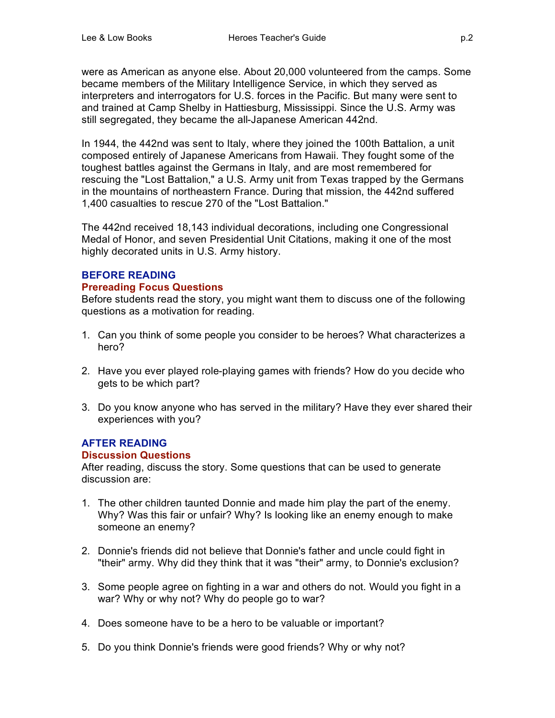were as American as anyone else. About 20,000 volunteered from the camps. Some became members of the Military Intelligence Service, in which they served as interpreters and interrogators for U.S. forces in the Pacific. But many were sent to and trained at Camp Shelby in Hattiesburg, Mississippi. Since the U.S. Army was still segregated, they became the all-Japanese American 442nd.

In 1944, the 442nd was sent to Italy, where they joined the 100th Battalion, a unit composed entirely of Japanese Americans from Hawaii. They fought some of the toughest battles against the Germans in Italy, and are most remembered for rescuing the "Lost Battalion," a U.S. Army unit from Texas trapped by the Germans in the mountains of northeastern France. During that mission, the 442nd suffered 1,400 casualties to rescue 270 of the "Lost Battalion."

The 442nd received 18,143 individual decorations, including one Congressional Medal of Honor, and seven Presidential Unit Citations, making it one of the most highly decorated units in U.S. Army history.

# **BEFORE READING**

### **Prereading Focus Questions**

Before students read the story, you might want them to discuss one of the following questions as a motivation for reading.

- 1. Can you think of some people you consider to be heroes? What characterizes a hero?
- 2. Have you ever played role-playing games with friends? How do you decide who gets to be which part?
- 3. Do you know anyone who has served in the military? Have they ever shared their experiences with you?

# **AFTER READING**

## **Discussion Questions**

After reading, discuss the story. Some questions that can be used to generate discussion are:

- 1. The other children taunted Donnie and made him play the part of the enemy. Why? Was this fair or unfair? Why? Is looking like an enemy enough to make someone an enemy?
- 2. Donnie's friends did not believe that Donnie's father and uncle could fight in "their" army. Why did they think that it was "their" army, to Donnie's exclusion?
- 3. Some people agree on fighting in a war and others do not. Would you fight in a war? Why or why not? Why do people go to war?
- 4. Does someone have to be a hero to be valuable or important?
- 5. Do you think Donnie's friends were good friends? Why or why not?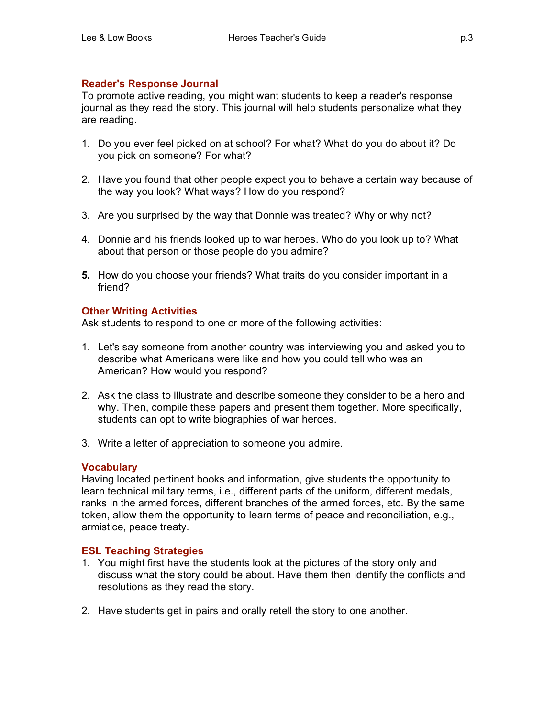# **Reader's Response Journal**

To promote active reading, you might want students to keep a reader's response journal as they read the story. This journal will help students personalize what they are reading.

- 1. Do you ever feel picked on at school? For what? What do you do about it? Do you pick on someone? For what?
- 2. Have you found that other people expect you to behave a certain way because of the way you look? What ways? How do you respond?
- 3. Are you surprised by the way that Donnie was treated? Why or why not?
- 4. Donnie and his friends looked up to war heroes. Who do you look up to? What about that person or those people do you admire?
- **5.** How do you choose your friends? What traits do you consider important in a friend?

## **Other Writing Activities**

Ask students to respond to one or more of the following activities:

- 1. Let's say someone from another country was interviewing you and asked you to describe what Americans were like and how you could tell who was an American? How would you respond?
- 2. Ask the class to illustrate and describe someone they consider to be a hero and why. Then, compile these papers and present them together. More specifically, students can opt to write biographies of war heroes.
- 3. Write a letter of appreciation to someone you admire.

## **Vocabulary**

Having located pertinent books and information, give students the opportunity to learn technical military terms, i.e., different parts of the uniform, different medals, ranks in the armed forces, different branches of the armed forces, etc. By the same token, allow them the opportunity to learn terms of peace and reconciliation, e.g., armistice, peace treaty.

## **ESL Teaching Strategies**

- 1. You might first have the students look at the pictures of the story only and discuss what the story could be about. Have them then identify the conflicts and resolutions as they read the story.
- 2. Have students get in pairs and orally retell the story to one another.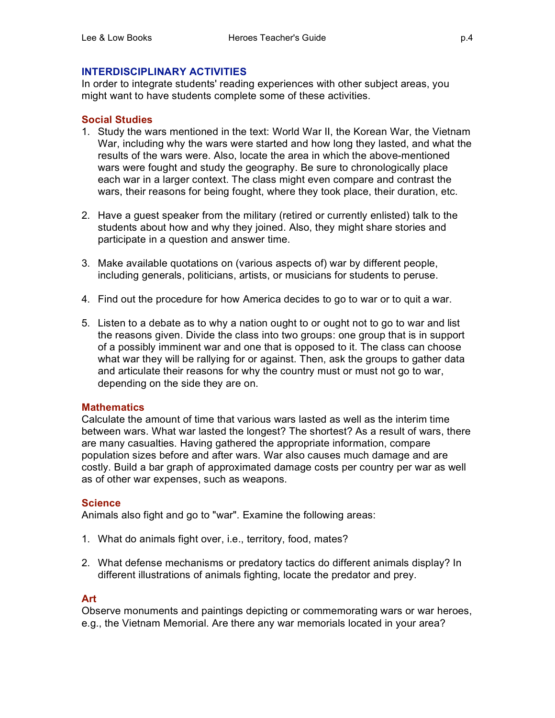### **INTERDISCIPLINARY ACTIVITIES**

In order to integrate students' reading experiences with other subject areas, you might want to have students complete some of these activities.

### **Social Studies**

- 1. Study the wars mentioned in the text: World War II, the Korean War, the Vietnam War, including why the wars were started and how long they lasted, and what the results of the wars were. Also, locate the area in which the above-mentioned wars were fought and study the geography. Be sure to chronologically place each war in a larger context. The class might even compare and contrast the wars, their reasons for being fought, where they took place, their duration, etc.
- 2. Have a guest speaker from the military (retired or currently enlisted) talk to the students about how and why they joined. Also, they might share stories and participate in a question and answer time.
- 3. Make available quotations on (various aspects of) war by different people, including generals, politicians, artists, or musicians for students to peruse.
- 4. Find out the procedure for how America decides to go to war or to quit a war.
- 5. Listen to a debate as to why a nation ought to or ought not to go to war and list the reasons given. Divide the class into two groups: one group that is in support of a possibly imminent war and one that is opposed to it. The class can choose what war they will be rallying for or against. Then, ask the groups to gather data and articulate their reasons for why the country must or must not go to war, depending on the side they are on.

#### **Mathematics**

Calculate the amount of time that various wars lasted as well as the interim time between wars. What war lasted the longest? The shortest? As a result of wars, there are many casualties. Having gathered the appropriate information, compare population sizes before and after wars. War also causes much damage and are costly. Build a bar graph of approximated damage costs per country per war as well as of other war expenses, such as weapons.

### **Science**

Animals also fight and go to "war". Examine the following areas:

- 1. What do animals fight over, i.e., territory, food, mates?
- 2. What defense mechanisms or predatory tactics do different animals display? In different illustrations of animals fighting, locate the predator and prey.

### **Art**

Observe monuments and paintings depicting or commemorating wars or war heroes, e.g., the Vietnam Memorial. Are there any war memorials located in your area?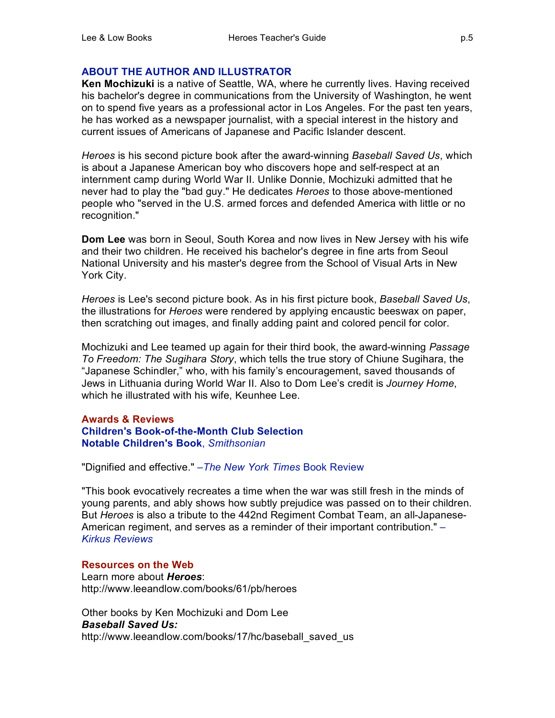## **ABOUT THE AUTHOR AND ILLUSTRATOR**

**Ken Mochizuki** is a native of Seattle, WA, where he currently lives. Having received his bachelor's degree in communications from the University of Washington, he went on to spend five years as a professional actor in Los Angeles. For the past ten years, he has worked as a newspaper journalist, with a special interest in the history and current issues of Americans of Japanese and Pacific Islander descent.

*Heroes* is his second picture book after the award-winning *Baseball Saved Us*, which is about a Japanese American boy who discovers hope and self-respect at an internment camp during World War II. Unlike Donnie, Mochizuki admitted that he never had to play the "bad guy." He dedicates *Heroes* to those above-mentioned people who "served in the U.S. armed forces and defended America with little or no recognition."

**Dom Lee** was born in Seoul, South Korea and now lives in New Jersey with his wife and their two children. He received his bachelor's degree in fine arts from Seoul National University and his master's degree from the School of Visual Arts in New York City.

*Heroes* is Lee's second picture book. As in his first picture book, *Baseball Saved Us*, the illustrations for *Heroes* were rendered by applying encaustic beeswax on paper, then scratching out images, and finally adding paint and colored pencil for color.

Mochizuki and Lee teamed up again for their third book, the award-winning *Passage To Freedom: The Sugihara Story*, which tells the true story of Chiune Sugihara, the "Japanese Schindler," who, with his family's encouragement, saved thousands of Jews in Lithuania during World War II. Also to Dom Lee's credit is *Journey Home*, which he illustrated with his wife, Keunhee Lee.

### **Awards & Reviews Children's Book-of-the-Month Club Selection Notable Children's Book**, *Smithsonian*

"Dignified and effective." –*The New York Times* Book Review

"This book evocatively recreates a time when the war was still fresh in the minds of young parents, and ably shows how subtly prejudice was passed on to their children. But *Heroes* is also a tribute to the 442nd Regiment Combat Team, an all-Japanese-American regiment, and serves as a reminder of their important contribution." – *Kirkus Reviews*

### **Resources on the Web**

Learn more about *Heroes*: http://www.leeandlow.com/books/61/pb/heroes

Other books by Ken Mochizuki and Dom Lee *Baseball Saved Us:* http://www.leeandlow.com/books/17/hc/baseball\_saved\_us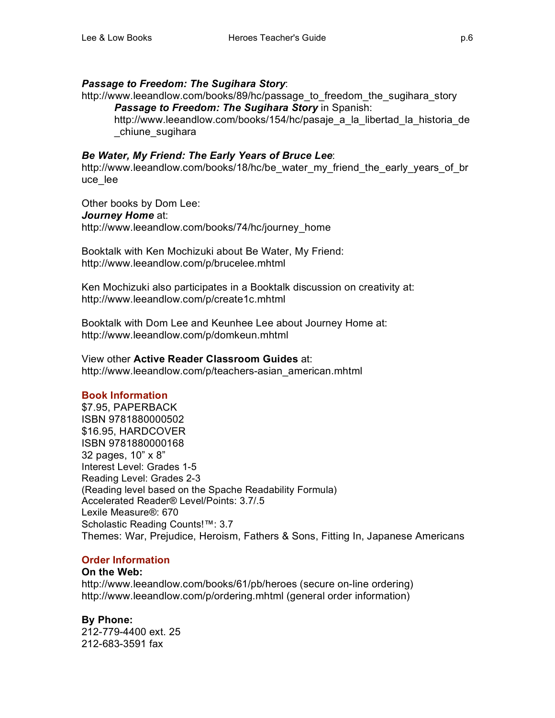## *Passage to Freedom: The Sugihara Story*:

http://www.leeandlow.com/books/89/hc/passage\_to\_freedom\_the\_sugihara\_story *Passage to Freedom: The Sugihara Story* in Spanish:

http://www.leeandlow.com/books/154/hc/pasaje\_a\_la\_libertad\_la\_historia\_de \_chiune\_sugihara

## *Be Water, My Friend: The Early Years of Bruce Lee*:

http://www.leeandlow.com/books/18/hc/be\_water\_my\_friend\_the\_early\_years\_of\_br uce\_lee

Other books by Dom Lee: *Journey Home* at: http://www.leeandlow.com/books/74/hc/journey\_home

Booktalk with Ken Mochizuki about Be Water, My Friend: http://www.leeandlow.com/p/brucelee.mhtml

Ken Mochizuki also participates in a Booktalk discussion on creativity at: http://www.leeandlow.com/p/create1c.mhtml

Booktalk with Dom Lee and Keunhee Lee about Journey Home at: http://www.leeandlow.com/p/domkeun.mhtml

View other **Active Reader Classroom Guides** at: http://www.leeandlow.com/p/teachers-asian\_american.mhtml

# **Book Information**

\$7.95, PAPERBACK ISBN 9781880000502 \$16.95, HARDCOVER ISBN 9781880000168 32 pages, 10" x 8" Interest Level: Grades 1-5 Reading Level: Grades 2-3 (Reading level based on the Spache Readability Formula) Accelerated Reader® Level/Points: 3.7/.5 Lexile Measure®: 670 Scholastic Reading Counts!™: 3.7 Themes: War, Prejudice, Heroism, Fathers & Sons, Fitting In, Japanese Americans

# **Order Information**

## **On the Web:**

http://www.leeandlow.com/books/61/pb/heroes (secure on-line ordering) http://www.leeandlow.com/p/ordering.mhtml (general order information)

**By Phone:**  212-779-4400 ext. 25 212-683-3591 fax